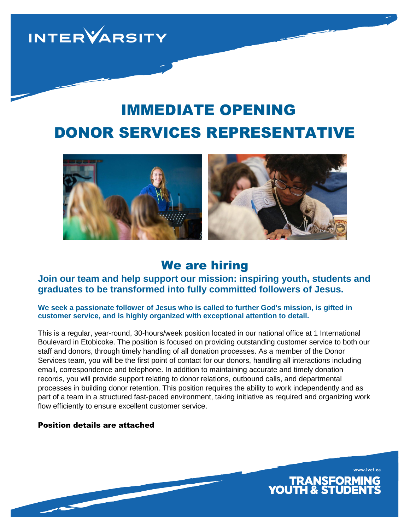**INTERVARSITY** 

# DONOR SERVICES REPRESENTATIVE IMMEDIATE OPENING



## We are hiring

### **Join our team and help support our mission: inspiring youth, students and graduates to be transformed into fully committed followers of Jesus.**

#### **We seek a passionate follower of Jesus who is called to further God's mission, is gifted in customer service, and is highly organized with exceptional attention to detail.**

This is a regular, year-round, 30-hours/week position located in our national office at 1 International Boulevard in Etobicoke. The position is focused on providing outstanding customer service to both our staff and donors, through timely handling of all donation processes. As a member of the Donor Services team, you will be the first point of contact for our donors, handling all interactions including email, correspondence and telephone. In addition to maintaining accurate and timely donation records, you will provide support relating to donor relations, outbound calls, and departmental processes in building donor retention. This position requires the ability to work independently and as part of a team in a structured fast-paced environment, taking initiative as required and organizing work flow efficiently to ensure excellent customer service.

#### Position details are attached

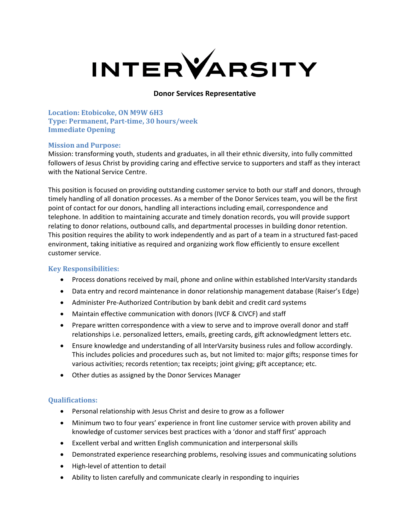

#### **Donor Services Representative**

**Location: Etobicoke, ON M9W 6H3 Type: Permanent, Part-time, 30 hours/week Immediate Opening**

#### **Mission and Purpose:**

Mission: transforming youth, students and graduates, in all their ethnic diversity, into fully committed followers of Jesus Christ by providing caring and effective service to supporters and staff as they interact with the National Service Centre.

This position is focused on providing outstanding customer service to both our staff and donors, through timely handling of all donation processes. As a member of the Donor Services team, you will be the first point of contact for our donors, handling all interactions including email, correspondence and telephone. In addition to maintaining accurate and timely donation records, you will provide support relating to donor relations, outbound calls, and departmental processes in building donor retention. This position requires the ability to work independently and as part of a team in a structured fast-paced environment, taking initiative as required and organizing work flow efficiently to ensure excellent customer service.

#### **Key Responsibilities:**

- Process donations received by mail, phone and online within established InterVarsity standards
- Data entry and record maintenance in donor relationship management database (Raiser's Edge)
- Administer Pre-Authorized Contribution by bank debit and credit card systems
- Maintain effective communication with donors (IVCF & CIVCF) and staff
- Prepare written correspondence with a view to serve and to improve overall donor and staff relationships i.e. personalized letters, emails, greeting cards, gift acknowledgment letters etc.
- Ensure knowledge and understanding of all InterVarsity business rules and follow accordingly. This includes policies and procedures such as, but not limited to: major gifts; response times for various activities; records retention; tax receipts; joint giving; gift acceptance; etc.
- Other duties as assigned by the Donor Services Manager

#### **Qualifications:**

- Personal relationship with Jesus Christ and desire to grow as a follower
- Minimum two to four years' experience in front line customer service with proven ability and knowledge of customer services best practices with a 'donor and staff first' approach
- Excellent verbal and written English communication and interpersonal skills
- Demonstrated experience researching problems, resolving issues and communicating solutions
- High-level of attention to detail
- Ability to listen carefully and communicate clearly in responding to inquiries